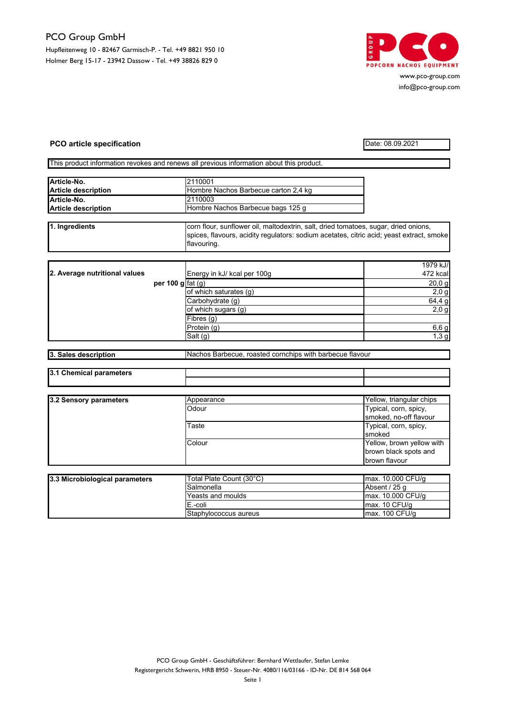## PCO Group GmbH Hupfleitenweg 10 - 82467 Garmisch-P. - Tel. +49 8821 950 10 Holmer Berg 15-17 - 23942 Dassow - Tel. +49 38826 829 0



www.pco-group.com info@pco-group.com

## **PCO article specification** Date: 08.09.2021

This product information revokes and renews all previous information about this product.

| Article-No.                | 2110001                              |  |
|----------------------------|--------------------------------------|--|
| <b>Article description</b> | Hombre Nachos Barbecue carton 2.4 kg |  |
| Article-No.                | 2110003                              |  |
| <b>Article description</b> | Hombre Nachos Barbecue bags 125 g    |  |
|                            |                                      |  |

| 1. Ingredients | corn flour, sunflower oil, maltodextrin, salt, dried tomatoes, sugar, dried onions,      |  |  |
|----------------|------------------------------------------------------------------------------------------|--|--|
|                | spices, flavours, acidity regulators: sodium acetates, citric acid; yeast extract, smoke |  |  |
|                | flavouring.                                                                              |  |  |

|                               |                                         |                             | 1979 kJ/ |
|-------------------------------|-----------------------------------------|-----------------------------|----------|
| 2. Average nutritional values |                                         | Energy in kJ/ kcal per 100g | 472 kcal |
|                               | per 100 g $\lceil \text{fat}(g) \rceil$ |                             | $20,0$ g |
|                               |                                         | of which saturates (g)      | $2,0$ g  |
|                               |                                         | Carbohydrate (q)            | 64,4 g   |
|                               |                                         | of which sugars (g)         | 2,0,9    |
|                               |                                         | Fibres $(g)$                |          |
|                               |                                         | Protein (g)                 | 6,6 g    |
|                               |                                         | Salt (g)                    | 1,3g     |

| 3. Sales description | Nachos Barbecue, roasted cornchips with barbecue flavour |
|----------------------|----------------------------------------------------------|
|                      |                                                          |

| 13.1<br>-----------<br>- --<br>anemic: |  |
|----------------------------------------|--|
|                                        |  |

| 3.2 Sensory parameters | Appearance | Yellow, triangular chips  |
|------------------------|------------|---------------------------|
|                        | Odour      | Typical, corn, spicy,     |
|                        |            | smoked, no-off flavour    |
|                        | Taste      | Typical, corn, spicy,     |
|                        |            | <b>smoked</b>             |
|                        | Colour     | Yellow, brown yellow with |
|                        |            | brown black spots and     |
|                        |            | brown flavour             |

| 3.3 Microbiological parameters | Total Plate Count (30°C) | lmax. 10.000 CFU/g                     |
|--------------------------------|--------------------------|----------------------------------------|
|                                | Salmonella               | Absent / 25 a                          |
|                                | Yeasts and moulds        | max. 10.000 CFU/g                      |
|                                | E.-coli                  | $\textsf{Imax}$ . 10 CFU/ $\textsf{a}$ |
|                                | Staphylococcus aureus    | $\textsf{max. 100}$ CFU/g              |